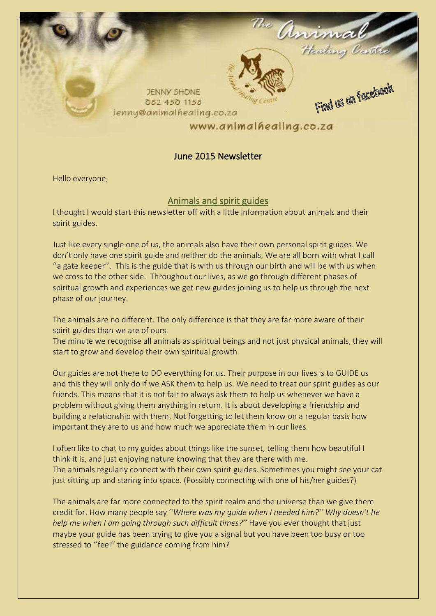

# June 2015 Newsletter

Hello everyone,

# Animals and spirit guides

I thought I would start this newsletter off with a little information about animals and their spirit guides.

Just like every single one of us, the animals also have their own personal spirit guides. We don't only have one spirit guide and neither do the animals. We are all born with what I call "a gate keeper". This is the guide that is with us through our birth and will be with us when we cross to the other side. Throughout our lives, as we go through different phases of spiritual growth and experiences we get new guides joining us to help us through the next phase of our journey.

The animals are no different. The only difference is that they are far more aware of their spirit guides than we are of ours.

The minute we recognise all animals as spiritual beings and not just physical animals, they will start to grow and develop their own spiritual growth.

Our guides are not there to DO everything for us. Their purpose in our lives is to GUIDE us and this they will only do if we ASK them to help us. We need to treat our spirit guides as our friends. This means that it is not fair to always ask them to help us whenever we have a problem without giving them anything in return. It is about developing a friendship and building a relationship with them. Not forgetting to let them know on a regular basis how important they are to us and how much we appreciate them in our lives.

I often like to chat to my guides about things like the sunset, telling them how beautiful I think it is, and just enjoying nature knowing that they are there with me. The animals regularly connect with their own spirit guides. Sometimes you might see your cat just sitting up and staring into space. (Possibly connecting with one of his/her guides?)

The animals are far more connected to the spirit realm and the universe than we give them credit for. How many people say '*'Where was my guide when I needed him?'' Why doesn't he help me when I am going through such difficult times?''* Have you ever thought that just maybe your guide has been trying to give you a signal but you have been too busy or too stressed to ''feel'' the guidance coming from him?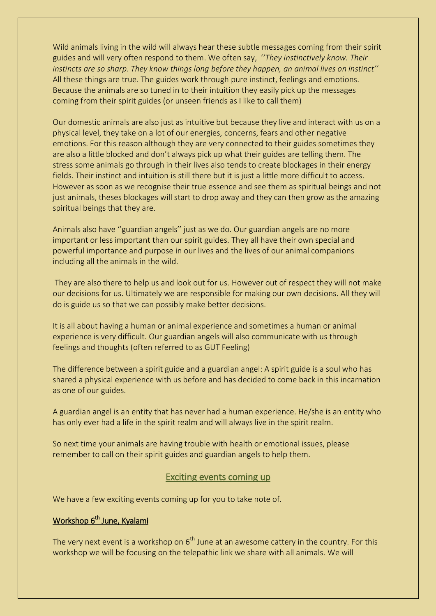Wild animals living in the wild will always hear these subtle messages coming from their spirit guides and will very often respond to them. We often say, '*'They instinctively know. Their instincts are so sharp. They know things long before they happen, an animal lives on instinct''*  All these things are true. The guides work through pure instinct, feelings and emotions. Because the animals are so tuned in to their intuition they easily pick up the messages coming from their spirit guides (or unseen friends as I like to call them)

Our domestic animals are also just as intuitive but because they live and interact with us on a physical level, they take on a lot of our energies, concerns, fears and other negative emotions. For this reason although they are very connected to their guides sometimes they are also a little blocked and don't always pick up what their guides are telling them. The stress some animals go through in their lives also tends to create blockages in their energy fields. Their instinct and intuition is still there but it is just a little more difficult to access. However as soon as we recognise their true essence and see them as spiritual beings and not just animals, theses blockages will start to drop away and they can then grow as the amazing spiritual beings that they are.

Animals also have ''guardian angels'' just as we do. Our guardian angels are no more important or less important than our spirit guides. They all have their own special and powerful importance and purpose in our lives and the lives of our animal companions including all the animals in the wild.

They are also there to help us and look out for us. However out of respect they will not make our decisions for us. Ultimately we are responsible for making our own decisions. All they will do is guide us so that we can possibly make better decisions.

It is all about having a human or animal experience and sometimes a human or animal experience is very difficult. Our guardian angels will also communicate with us through feelings and thoughts (often referred to as GUT Feeling)

The difference between a spirit guide and a guardian angel: A spirit guide is a soul who has shared a physical experience with us before and has decided to come back in this incarnation as one of our guides.

A guardian angel is an entity that has never had a human experience. He/she is an entity who has only ever had a life in the spirit realm and will always live in the spirit realm.

So next time your animals are having trouble with health or emotional issues, please remember to call on their spirit guides and guardian angels to help them.

#### Exciting events coming up

We have a few exciting events coming up for you to take note of.

#### Workshop 6<sup>th</sup> June, Kyalami

The very next event is a workshop on  $6<sup>th</sup>$  June at an awesome cattery in the country. For this workshop we will be focusing on the telepathic link we share with all animals. We will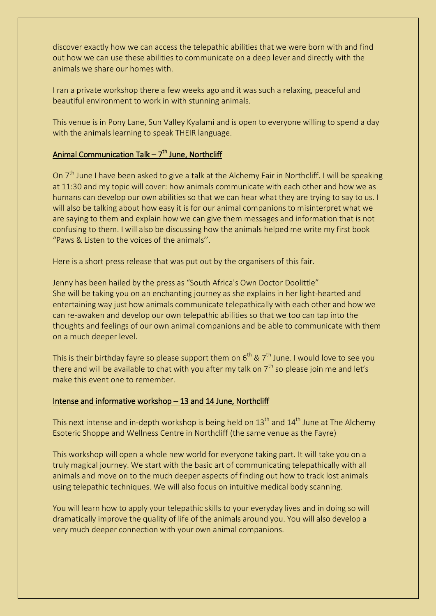discover exactly how we can access the telepathic abilities that we were born with and find out how we can use these abilities to communicate on a deep lever and directly with the animals we share our homes with.

I ran a private workshop there a few weeks ago and it was such a relaxing, peaceful and beautiful environment to work in with stunning animals.

This venue is in Pony Lane, Sun Valley Kyalami and is open to everyone willing to spend a day with the animals learning to speak THEIR language.

#### Animal Communication Talk – 7<sup>th</sup> June, Northcliff

On  $7<sup>th</sup>$  June I have been asked to give a talk at the Alchemy Fair in Northcliff. I will be speaking at 11:30 and my topic will cover: how animals communicate with each other and how we as humans can develop our own abilities so that we can hear what they are trying to say to us. I will also be talking about how easy it is for our animal companions to misinterpret what we are saying to them and explain how we can give them messages and information that is not confusing to them. I will also be discussing how the animals helped me write my first book "Paws & Listen to the voices of the animals''.

Here is a short press release that was put out by the organisers of this fair.

Jenny has been hailed by the press as "South Africa's Own Doctor Doolittle" She will be taking you on an enchanting journey as she explains in her light-hearted and entertaining way just how animals communicate telepathically with each other and how we can re-awaken and develop our own telepathic abilities so that we too can tap into the thoughts and feelings of our own animal companions and be able to communicate with them on a much deeper level.

This is their birthday fayre so please support them on  $6<sup>th</sup>$  &  $7<sup>th</sup>$  June. I would love to see you there and will be available to chat with you after my talk on  $7<sup>th</sup>$  so please join me and let's make this event one to remember.

### Intense and informative workshop – 13 and 14 June, Northcliff

This next intense and in-depth workshop is being held on  $13<sup>th</sup>$  and  $14<sup>th</sup>$  June at The Alchemy Esoteric Shoppe and Wellness Centre in Northcliff (the same venue as the Fayre)

This workshop will open a whole new world for everyone taking part. It will take you on a truly magical journey. We start with the basic art of communicating telepathically with all animals and move on to the much deeper aspects of finding out how to track lost animals using telepathic techniques. We will also focus on intuitive medical body scanning.

You will learn how to apply your telepathic skills to your everyday lives and in doing so will dramatically improve the quality of life of the animals around you. You will also develop a very much deeper connection with your own animal companions.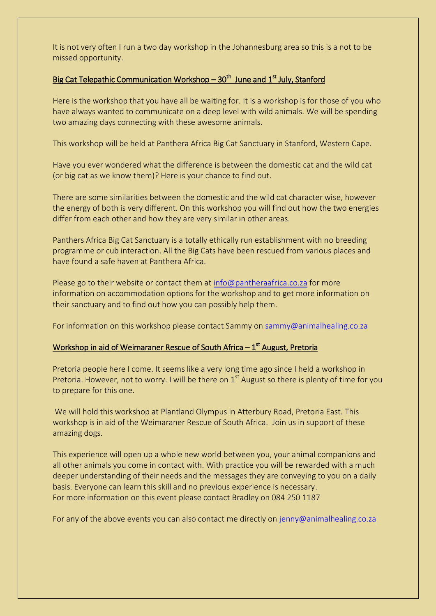It is not very often I run a two day workshop in the Johannesburg area so this is a not to be missed opportunity.

#### Big Cat Telepathic Communication Workshop – 30<sup>th</sup> June and 1<sup>st</sup> July, Stanford

Here is the workshop that you have all be waiting for. It is a workshop is for those of you who have always wanted to communicate on a deep level with wild animals. We will be spending two amazing days connecting with these awesome animals.

This workshop will be held at Panthera Africa Big Cat Sanctuary in Stanford, Western Cape.

Have you ever wondered what the difference is between the domestic cat and the wild cat (or big cat as we know them)? Here is your chance to find out.

There are some similarities between the domestic and the wild cat character wise, however the energy of both is very different. On this workshop you will find out how the two energies differ from each other and how they are very similar in other areas.

Panthers Africa Big Cat Sanctuary is a totally ethically run establishment with no breeding programme or cub interaction. All the Big Cats have been rescued from various places and have found a safe haven at Panthera Africa.

Please go to their website or contact them at [info@pantheraafrica.co.za](mailto:info@pantheraafrica.co.za) for more information on accommodation options for the workshop and to get more information on their sanctuary and to find out how you can possibly help them.

For information on this workshop please contact Sammy on [sammy@animalhealing.co.za](mailto:sammy@animalhealing.co.za)

#### Workshop in aid of Weimaraner Rescue of South Africa – 1<sup>st</sup> August, Pretoria

Pretoria people here I come. It seems like a very long time ago since I held a workshop in Pretoria. However, not to worry. I will be there on  $1<sup>st</sup>$  August so there is plenty of time for you to prepare for this one.

We will hold this workshop at Plantland Olympus in Atterbury Road, Pretoria East. This workshop is in aid of the Weimaraner Rescue of South Africa. Join us in support of these amazing dogs.

This experience will open up a whole new world between you, your animal companions and all other animals you come in contact with. With practice you will be rewarded with a much deeper understanding of their needs and the messages they are conveying to you on a daily basis. Everyone can learn this skill and no previous experience is necessary. For more information on this event please contact Bradley on 084 250 1187

For any of the above events you can also contact me directly on [jenny@animalhealing.co.za](mailto:jenny@animalhealing.co.za)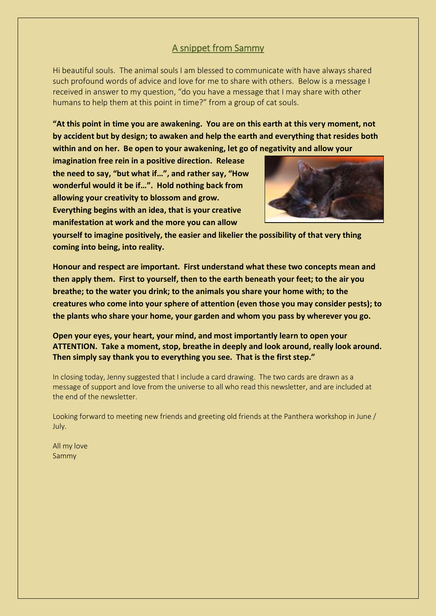# A snippet from Sammy

Hi beautiful souls. The animal souls I am blessed to communicate with have always shared such profound words of advice and love for me to share with others. Below is a message I received in answer to my question, "do you have a message that I may share with other humans to help them at this point in time?" from a group of cat souls.

**"At this point in time you are awakening. You are on this earth at this very moment, not by accident but by design; to awaken and help the earth and everything that resides both within and on her. Be open to your awakening, let go of negativity and allow your** 

**imagination free rein in a positive direction. Release the need to say, "but what if…", and rather say, "How wonderful would it be if…". Hold nothing back from allowing your creativity to blossom and grow. Everything begins with an idea, that is your creative manifestation at work and the more you can allow** 



**yourself to imagine positively, the easier and likelier the possibility of that very thing coming into being, into reality.** 

**Honour and respect are important. First understand what these two concepts mean and then apply them. First to yourself, then to the earth beneath your feet; to the air you breathe; to the water you drink; to the animals you share your home with; to the creatures who come into your sphere of attention (even those you may consider pests); to the plants who share your home, your garden and whom you pass by wherever you go.** 

**Open your eyes, your heart, your mind, and most importantly learn to open your ATTENTION. Take a moment, stop, breathe in deeply and look around, really look around. Then simply say thank you to everything you see. That is the first step."**

In closing today, Jenny suggested that I include a card drawing. The two cards are drawn as a message of support and love from the universe to all who read this newsletter, and are included at the end of the newsletter.

Looking forward to meeting new friends and greeting old friends at the Panthera workshop in June / July.

All my love Sammy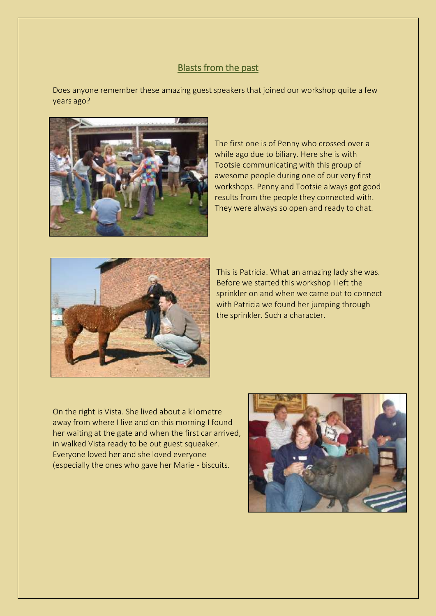#### Blasts from the past

Does anyone remember these amazing guest speakers that joined our workshop quite a few years ago?



The first one is of Penny who crossed over a while ago due to biliary. Here she is with Tootsie communicating with this group of awesome people during one of our very first workshops. Penny and Tootsie always got good results from the people they connected with. They were always so open and ready to chat.



This is Patricia. What an amazing lady she was. Before we started this workshop I left the sprinkler on and when we came out to connect with Patricia we found her jumping through the sprinkler. Such a character.

On the right is Vista. She lived about a kilometre away from where I live and on this morning I found her waiting at the gate and when the first car arrived, in walked Vista ready to be out guest squeaker. Everyone loved her and she loved everyone (especially the ones who gave her Marie - biscuits.

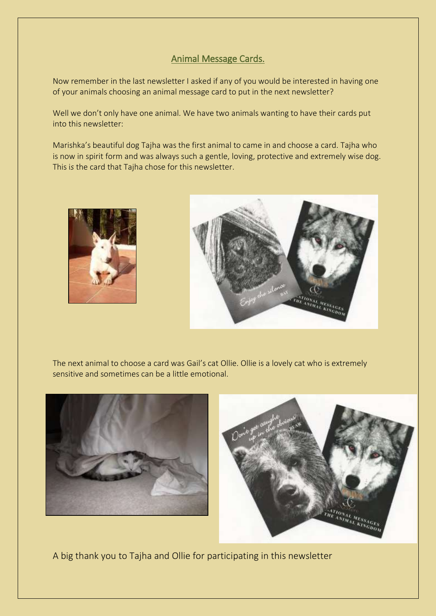# Animal Message Cards.

Now remember in the last newsletter I asked if any of you would be interested in having one of your animals choosing an animal message card to put in the next newsletter?

Well we don't only have one animal. We have two animals wanting to have their cards put into this newsletter:

Marishka's beautiful dog Tajha was the first animal to came in and choose a card. Tajha who is now in spirit form and was always such a gentle, loving, protective and extremely wise dog. This i*s* the card that Tajha chose for this newsletter.





The next animal to choose a card was Gail's cat Ollie. Ollie is a lovely cat who is extremely sensitive and sometimes can be a little emotional.





A big thank you to Tajha and Ollie for participating in this newsletter